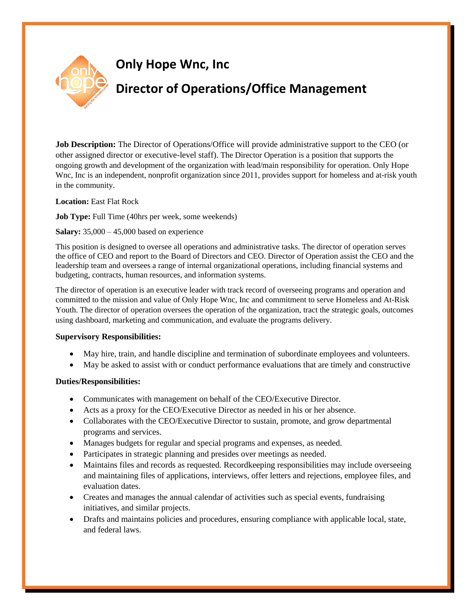

**Job Description:** The Director of Operations/Office will provide administrative support to the CEO (or other assigned director or executive-level staff). The Director Operation is a position that supports the ongoing growth and development of the organization with lead/main responsibility for operation. Only Hope Wnc, Inc is an independent, nonprofit organization since 2011, provides support for homeless and at-risk youth in the community.

**Location:** East Flat Rock

**Job Type:** Full Time (40hrs per week, some weekends)

### **Salary:** 35,000 – 45,000 based on experience

This position is designed to oversee all operations and administrative tasks. The director of operation serves the office of CEO and report to the Board of Directors and CEO. Director of Operation assist the CEO and the leadership team and oversees a range of internal organizational operations, including financial systems and budgeting, contracts, human resources, and information systems.

The director of operation is an executive leader with track record of overseeing programs and operation and committed to the mission and value of Only Hope Wnc, Inc and commitment to serve Homeless and At-Risk Youth. The director of operation oversees the operation of the organization, tract the strategic goals, outcomes using dashboard, marketing and communication, and evaluate the programs delivery.

#### **Supervisory Responsibilities:**

- May hire, train, and handle discipline and termination of subordinate employees and volunteers.
- May be asked to assist with or conduct performance evaluations that are timely and constructive

# **Duties/Responsibilities:**

- Communicates with management on behalf of the CEO/Executive Director.
- Acts as a proxy for the CEO/Executive Director as needed in his or her absence.
- Collaborates with the CEO/Executive Director to sustain, promote, and grow departmental programs and services.
- Manages budgets for regular and special programs and expenses, as needed.
- Participates in strategic planning and presides over meetings as needed.
- Maintains files and records as requested. Recordkeeping responsibilities may include overseeing and maintaining files of applications, interviews, offer letters and rejections, employee files, and evaluation dates.
- Creates and manages the annual calendar of activities such as special events, fundraising initiatives, and similar projects.
- Drafts and maintains policies and procedures, ensuring compliance with applicable local, state, and federal laws.